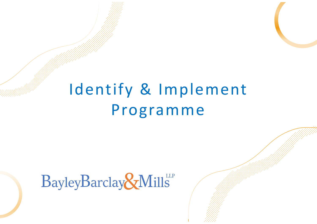# Identify & Implement Programme

# BayleyBarclay&Mills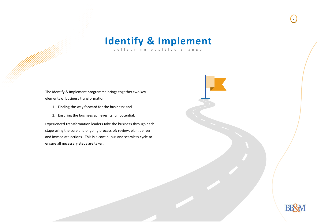

delivering positive change

The Identify & Implement programme brings together two key elements of business transformation:

- 1. Finding the way forward for the business; and
- 2. Ensuring the business achieves its full potential.

Experienced transformation leaders take the business through each stage using the core and ongoing process of; review, plan, deliver and immediate actions. This is a continuous and seamless cycle to ensure all necessary steps are taken.

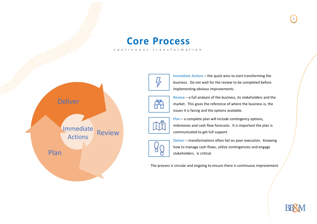

### **Core Process**

continuous transformation



Immediate Actions – the quick wins to start transforming the business. Do not wait for the review to be completed before implementing obvious improvements.



Review – a full analysis of the business, its stakeholders and the market. This gives the reference of where the business is, the issues it is facing and the options available.



Plan – a complete plan will include contingency options, milestones and cash flow forecasts. It is important the plan is communicated to get full support.



Deliver – transformations often fail on poor execution. Knowing how to manage cash flows, utilize contingencies and engage stakeholders. Is critical.

The process is circular and ongoing to ensure there is continuous improvement.



3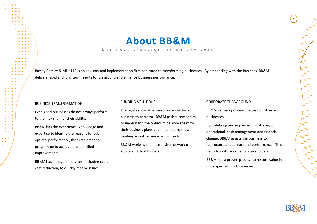### **About BB&M**

#### business transformation advisors

Bayley Barclay & Mills LLP is an advisory and implementation firm dedicated to transforming businesses. By embedding with the business, BB&M delivers rapid and long term results to turnaround and enhance business performance.

#### BUSINESS TRANSFORMATION

Even good businesses do not always perform to the maximum of their ability.

BB&M has the experience, knowledge and expertise to identify the reasons for suboptimal performance, then implement a programme to achieve the identified improvements.

BB&M has a range of services, including rapid cost reduction, to quickly resolve issues.

#### FUNDING SOLUTIONS

The right capital structure is essential for a business to perform. BB&M assists companies to understand the optimum balance sheet for their business plans and either source new funding or restructure existing funds.

BB&M works with an extensive network of equity and debt funders.

#### CORPORATE TURNAROUND

BB&M delivers positive change to distressed businesses.

By stabilising and implementing strategic, operational, cash management and financial change, BB&M assists the business to restructure and turnaround performance. This helps to restore value for stakeholders.

BB&M has a proven process to restore value in under-performing businesses.



4